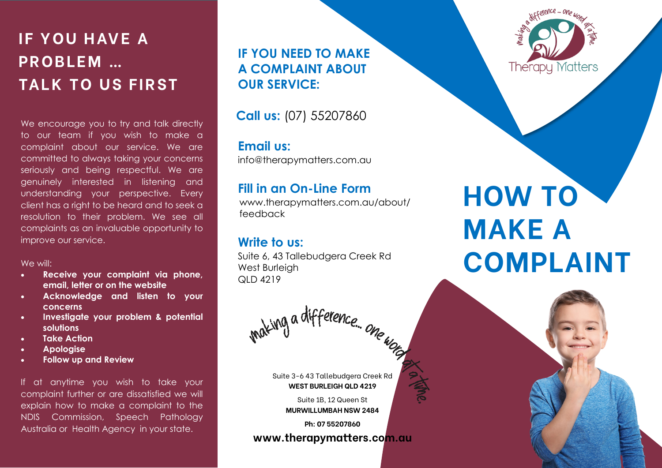**IF YOU HAVE A P R O B L E M … TALK TO US FIRST** 

We encourage you to try and talk directly to our team if you wish to make a complaint about our service. We are committed to always taking your concerns seriously and being respectful. We are genuinely interested in listening and understanding your perspective. Every client has a right to be heard and to seek a resolution to their problem. We see all complaints as an invaluable opportunity to improve our service.

#### We will:

- **Receive your complaint via phone, email, letter or on the website**
- **Acknowledge and listen to your concerns**
- **Investigate your problem & potential solutions**
- **Take Action**
- **Apologise**
- **Follow up and Review**

If at anytime you wish to take your complaint further or are dissatisfied we will explain how to make a complaint to the NDIS Commission, Speech Pathology Australia or Health Agency in your state.

**IF YOU NEED TO MAKE A COMPLAINT ABOUT OUR SERVICE:**

 **Call us:** (07) 55207860

### **Email us:**

info@therapymatters.com.au

### **Fill in an On-Line Form**

www.therapymatters.com.au/about/ feedback

## **Write to us:**

Suite 6, 43 Tallebudgera Creek Rd West Burleigh  $QID$  4219

raking a difference. one word

Suite 3-6 43 Tallebudgera Creek Rd **WEST BURLEIGH QLD 4219**

> Suite 1B, 12 Queen St **MURWILLUMBAH NSW 2484**

> > **Ph: 07 55207860**

**www.therapymatters.com.au**



# **HOW TO MAKE A COMPLAINT**